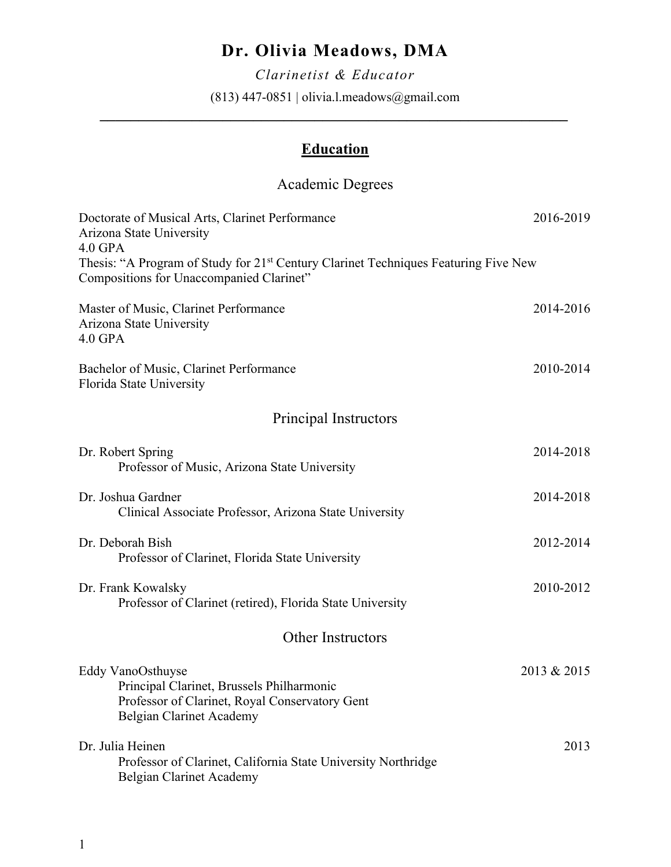# **Dr. Olivia Meadows, DMA**

*Clarinetist & Educator* (813) 447-0851 | olivia.l.meadows@gmail.com

*\_\_\_\_\_\_\_\_\_\_\_\_\_\_\_\_\_\_\_\_\_\_\_\_\_\_\_\_\_\_\_\_\_\_\_\_\_\_\_\_\_\_\_\_\_\_\_\_\_\_\_\_\_\_\_\_\_\_\_\_\_*

## **Education**

## Academic Degrees

| Doctorate of Musical Arts, Clarinet Performance<br>Arizona State University                                                                              | 2016-2019   |  |
|----------------------------------------------------------------------------------------------------------------------------------------------------------|-------------|--|
| $4.0$ GPA<br>Thesis: "A Program of Study for 21 <sup>st</sup> Century Clarinet Techniques Featuring Five New<br>Compositions for Unaccompanied Clarinet" |             |  |
| Master of Music, Clarinet Performance<br>Arizona State University<br>$4.0$ GPA                                                                           | 2014-2016   |  |
| Bachelor of Music, Clarinet Performance<br>Florida State University                                                                                      | 2010-2014   |  |
| Principal Instructors                                                                                                                                    |             |  |
| Dr. Robert Spring<br>Professor of Music, Arizona State University                                                                                        | 2014-2018   |  |
| Dr. Joshua Gardner<br>Clinical Associate Professor, Arizona State University                                                                             | 2014-2018   |  |
| Dr. Deborah Bish<br>Professor of Clarinet, Florida State University                                                                                      | 2012-2014   |  |
| Dr. Frank Kowalsky<br>Professor of Clarinet (retired), Florida State University                                                                          | 2010-2012   |  |
| <b>Other Instructors</b>                                                                                                                                 |             |  |
| Eddy VanoOsthuyse<br>Principal Clarinet, Brussels Philharmonic<br>Professor of Clarinet, Royal Conservatory Gent<br><b>Belgian Clarinet Academy</b>      | 2013 & 2015 |  |
| Dr. Julia Heinen<br>Professor of Clarinet, California State University Northridge<br><b>Belgian Clarinet Academy</b>                                     | 2013        |  |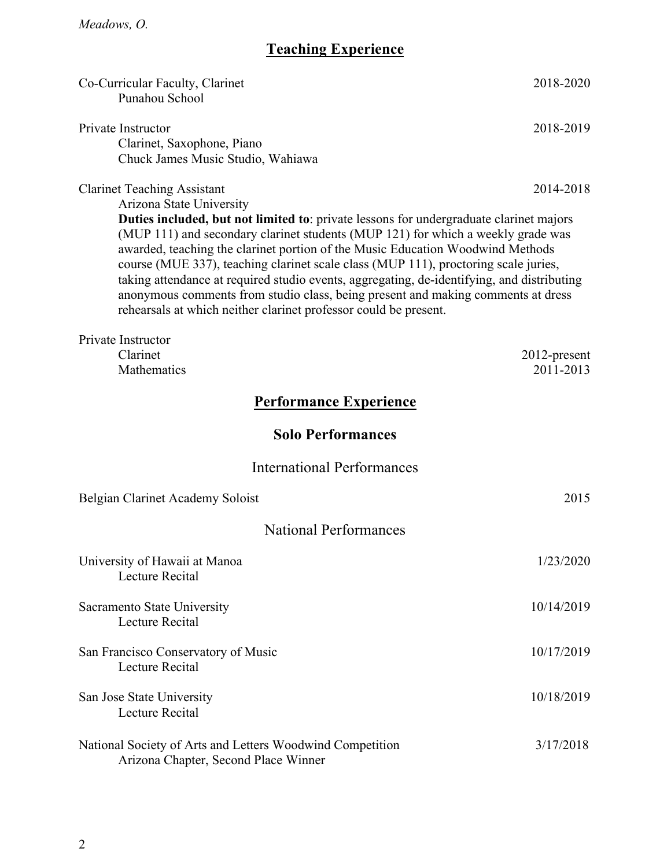# **Teaching Experience**

| Co-Curricular Faculty, Clarinet<br>Punahou School                                                                                                                                                                                                                                                                                                                                                                                                                                                                                                                                                                                                                           | 2018-2020                    |  |
|-----------------------------------------------------------------------------------------------------------------------------------------------------------------------------------------------------------------------------------------------------------------------------------------------------------------------------------------------------------------------------------------------------------------------------------------------------------------------------------------------------------------------------------------------------------------------------------------------------------------------------------------------------------------------------|------------------------------|--|
| Private Instructor<br>Clarinet, Saxophone, Piano<br>Chuck James Music Studio, Wahiawa                                                                                                                                                                                                                                                                                                                                                                                                                                                                                                                                                                                       | 2018-2019                    |  |
| <b>Clarinet Teaching Assistant</b><br>Arizona State University<br>Duties included, but not limited to: private lessons for undergraduate clarinet majors<br>(MUP 111) and secondary clarinet students (MUP 121) for which a weekly grade was<br>awarded, teaching the clarinet portion of the Music Education Woodwind Methods<br>course (MUE 337), teaching clarinet scale class (MUP 111), proctoring scale juries,<br>taking attendance at required studio events, aggregating, de-identifying, and distributing<br>anonymous comments from studio class, being present and making comments at dress<br>rehearsals at which neither clarinet professor could be present. | 2014-2018                    |  |
| Private Instructor<br>Clarinet<br>Mathematics                                                                                                                                                                                                                                                                                                                                                                                                                                                                                                                                                                                                                               | $2012$ -present<br>2011-2013 |  |
| <b>Performance Experience</b>                                                                                                                                                                                                                                                                                                                                                                                                                                                                                                                                                                                                                                               |                              |  |
| <b>Solo Performances</b>                                                                                                                                                                                                                                                                                                                                                                                                                                                                                                                                                                                                                                                    |                              |  |
| <b>International Performances</b>                                                                                                                                                                                                                                                                                                                                                                                                                                                                                                                                                                                                                                           |                              |  |
| Belgian Clarinet Academy Soloist                                                                                                                                                                                                                                                                                                                                                                                                                                                                                                                                                                                                                                            | 2015                         |  |
| <b>National Performances</b>                                                                                                                                                                                                                                                                                                                                                                                                                                                                                                                                                                                                                                                |                              |  |
| University of Hawaii at Manoa<br><b>Lecture Recital</b>                                                                                                                                                                                                                                                                                                                                                                                                                                                                                                                                                                                                                     | 1/23/2020                    |  |
| Sacramento State University<br>Lecture Recital                                                                                                                                                                                                                                                                                                                                                                                                                                                                                                                                                                                                                              | 10/14/2019                   |  |
| San Francisco Conservatory of Music<br>Lecture Recital                                                                                                                                                                                                                                                                                                                                                                                                                                                                                                                                                                                                                      | 10/17/2019                   |  |
| San Jose State University<br>Lecture Recital                                                                                                                                                                                                                                                                                                                                                                                                                                                                                                                                                                                                                                | 10/18/2019                   |  |
| National Society of Arts and Letters Woodwind Competition<br>Arizona Chapter, Second Place Winner                                                                                                                                                                                                                                                                                                                                                                                                                                                                                                                                                                           | 3/17/2018                    |  |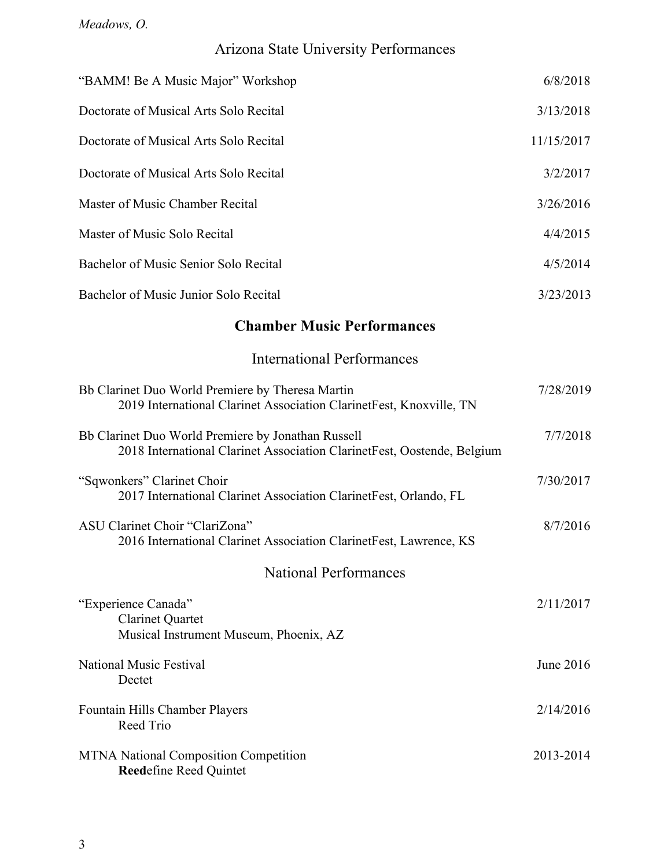# Arizona State University Performances

| <b>Chamber Music Performances</b>      |            |
|----------------------------------------|------------|
| Bachelor of Music Junior Solo Recital  | 3/23/2013  |
| Bachelor of Music Senior Solo Recital  | 4/5/2014   |
| Master of Music Solo Recital           | 4/4/2015   |
| Master of Music Chamber Recital        | 3/26/2016  |
| Doctorate of Musical Arts Solo Recital | 3/2/2017   |
| Doctorate of Musical Arts Solo Recital | 11/15/2017 |
| Doctorate of Musical Arts Solo Recital | 3/13/2018  |
| "BAMM! Be A Music Major" Workshop      | 6/8/2018   |

International Performances

| Bb Clarinet Duo World Premiere by Theresa Martin<br>2019 International Clarinet Association ClarinetFest, Knoxville, TN       | 7/28/2019 |
|-------------------------------------------------------------------------------------------------------------------------------|-----------|
| Bb Clarinet Duo World Premiere by Jonathan Russell<br>2018 International Clarinet Association ClarinetFest, Oostende, Belgium | 7/7/2018  |
| "Sqwonkers" Clarinet Choir<br>2017 International Clarinet Association ClarinetFest, Orlando, FL                               | 7/30/2017 |
| ASU Clarinet Choir "ClariZona"<br>2016 International Clarinet Association ClarinetFest, Lawrence, KS                          | 8/7/2016  |
| <b>National Performances</b>                                                                                                  |           |
| "Experience Canada"<br><b>Clarinet Quartet</b><br>Musical Instrument Museum, Phoenix, AZ                                      | 2/11/2017 |
| National Music Festival<br>Dectet                                                                                             | June 2016 |
| Fountain Hills Chamber Players<br>Reed Trio                                                                                   | 2/14/2016 |
| <b>MTNA National Composition Competition</b><br><b>Reedefine Reed Quintet</b>                                                 | 2013-2014 |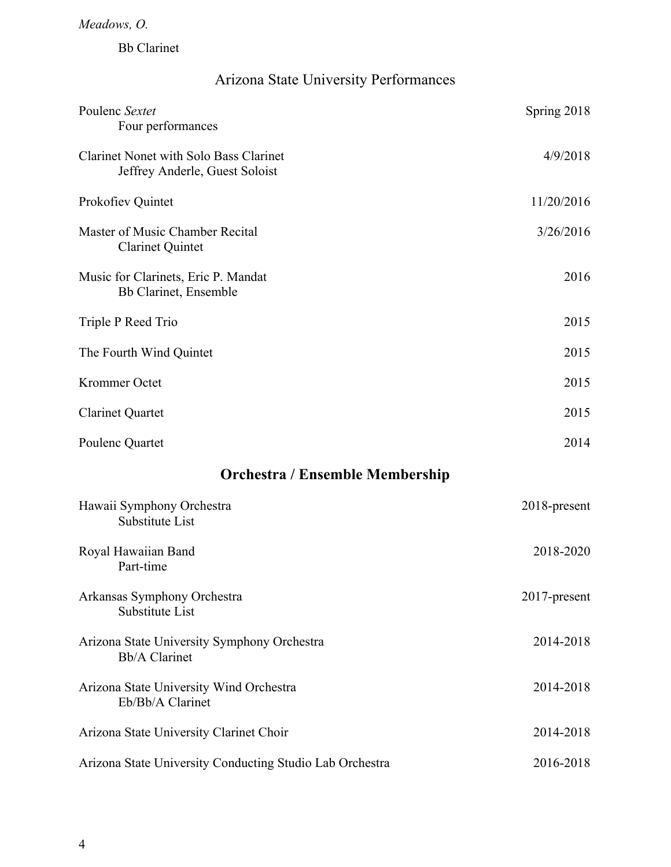Bb Clarinet

## Arizona State University Performances

| Poulenc Sextet<br>Four performances                                             | Spring 2018  |  |
|---------------------------------------------------------------------------------|--------------|--|
| <b>Clarinet Nonet with Solo Bass Clarinet</b><br>Jeffrey Anderle, Guest Soloist | 4/9/2018     |  |
| Prokofiev Quintet                                                               | 11/20/2016   |  |
| Master of Music Chamber Recital<br><b>Clarinet Quintet</b>                      | 3/26/2016    |  |
| Music for Clarinets, Eric P. Mandat<br>Bb Clarinet, Ensemble                    | 2016         |  |
| Triple P Reed Trio                                                              | 2015         |  |
| The Fourth Wind Quintet                                                         | 2015         |  |
| Krommer Octet                                                                   | 2015         |  |
| <b>Clarinet Quartet</b>                                                         | 2015         |  |
| Poulenc Quartet                                                                 | 2014         |  |
| <b>Orchestra / Ensemble Membership</b>                                          |              |  |
| Hawaii Symphony Orchestra<br>Substitute List                                    | 2018-present |  |
| Royal Hawaiian Band<br>Part-time                                                | 2018-2020    |  |

| Arkansas Symphony Orchestra<br>Substitute List                      | $2017$ -present |
|---------------------------------------------------------------------|-----------------|
| Arizona State University Symphony Orchestra<br><b>Bb/A Clarinet</b> | 2014-2018       |
| Arizona State University Wind Orchestra<br>Eb/Bb/A Clarinet         | 2014-2018       |
| Arizona State University Clarinet Choir                             | 2014-2018       |
| Arizona State University Conducting Studio Lab Orchestra            | 2016-2018       |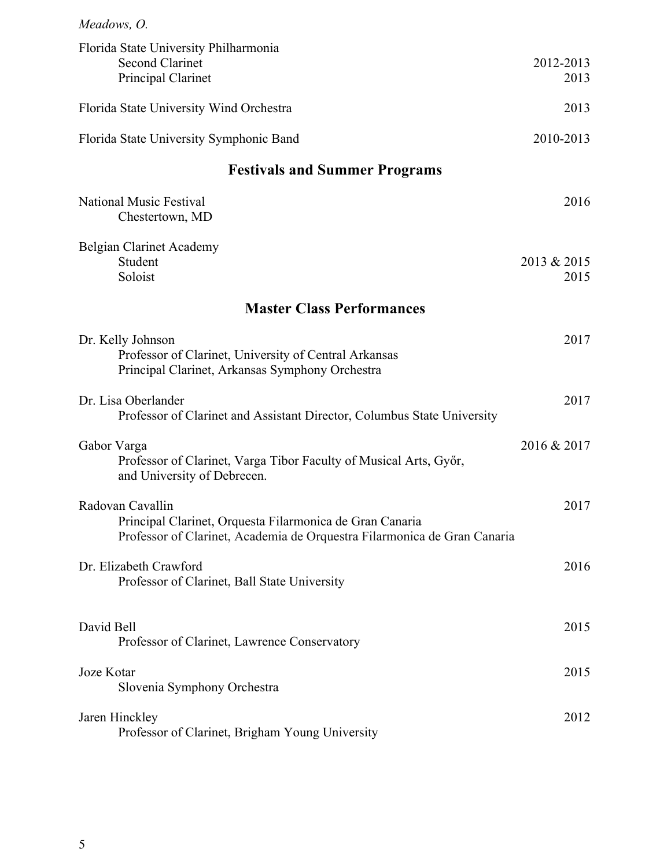| Meadows, O.                                                                                                                                              |                     |
|----------------------------------------------------------------------------------------------------------------------------------------------------------|---------------------|
| Florida State University Philharmonia<br><b>Second Clarinet</b><br>Principal Clarinet                                                                    | 2012-2013<br>2013   |
| Florida State University Wind Orchestra                                                                                                                  | 2013                |
| Florida State University Symphonic Band                                                                                                                  | 2010-2013           |
| <b>Festivals and Summer Programs</b>                                                                                                                     |                     |
| <b>National Music Festival</b><br>Chestertown, MD                                                                                                        | 2016                |
| Belgian Clarinet Academy<br>Student<br>Soloist                                                                                                           | 2013 & 2015<br>2015 |
| <b>Master Class Performances</b>                                                                                                                         |                     |
| Dr. Kelly Johnson<br>Professor of Clarinet, University of Central Arkansas<br>Principal Clarinet, Arkansas Symphony Orchestra                            | 2017                |
| Dr. Lisa Oberlander<br>Professor of Clarinet and Assistant Director, Columbus State University                                                           | 2017                |
| Gabor Varga<br>Professor of Clarinet, Varga Tibor Faculty of Musical Arts, Győr,<br>and University of Debrecen.                                          | 2016 & 2017         |
| Radovan Cavallin<br>Principal Clarinet, Orquesta Filarmonica de Gran Canaria<br>Professor of Clarinet, Academia de Orquestra Filarmonica de Gran Canaria | 2017                |
| Dr. Elizabeth Crawford<br>Professor of Clarinet, Ball State University                                                                                   | 2016                |
| David Bell<br>Professor of Clarinet, Lawrence Conservatory                                                                                               | 2015                |
| Joze Kotar<br>Slovenia Symphony Orchestra                                                                                                                | 2015                |
| Jaren Hinckley<br>Professor of Clarinet, Brigham Young University                                                                                        | 2012                |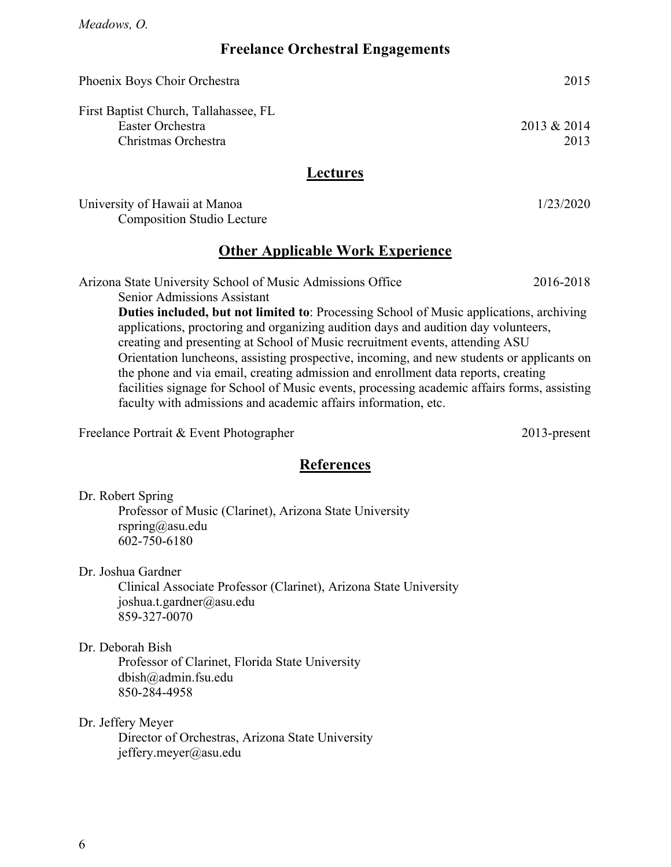### **Freelance Orchestral Engagements**

| Phoenix Boys Choir Orchestra                                                                                                                                                                                                                                                                                                                                      | 2015                |
|-------------------------------------------------------------------------------------------------------------------------------------------------------------------------------------------------------------------------------------------------------------------------------------------------------------------------------------------------------------------|---------------------|
| First Baptist Church, Tallahassee, FL<br>Easter Orchestra<br>Christmas Orchestra                                                                                                                                                                                                                                                                                  | 2013 & 2014<br>2013 |
| <b>Lectures</b>                                                                                                                                                                                                                                                                                                                                                   |                     |
| University of Hawaii at Manoa<br><b>Composition Studio Lecture</b>                                                                                                                                                                                                                                                                                                | 1/23/2020           |
| <b>Other Applicable Work Experience</b>                                                                                                                                                                                                                                                                                                                           |                     |
| Arizona State University School of Music Admissions Office<br><b>Senior Admissions Assistant</b>                                                                                                                                                                                                                                                                  | 2016-2018           |
| <b>Duties included, but not limited to:</b> Processing School of Music applications, archiving<br>applications, proctoring and organizing audition days and audition day volunteers,<br>creating and presenting at School of Music recruitment events, attending ASU<br>Orientation luncheons, assisting prospective, incoming, and new students or applicants on |                     |

the phone and via email, creating admission and enrollment data reports, creating facilities signage for School of Music events, processing academic affairs forms, assisting faculty with admissions and academic affairs information, etc.

Freelance Portrait & Event Photographer 2013-present

### **References**

Dr. Robert Spring

Professor of Music (Clarinet), Arizona State University rspring@asu.edu 602-750-6180

Dr. Joshua Gardner

Clinical Associate Professor (Clarinet), Arizona State University joshua.t.gardner@asu.edu 859-327-0070

Dr. Deborah Bish

Professor of Clarinet, Florida State University dbish@admin.fsu.edu 850-284-4958

Dr. Jeffery Meyer

Director of Orchestras, Arizona State University jeffery.meyer@asu.edu